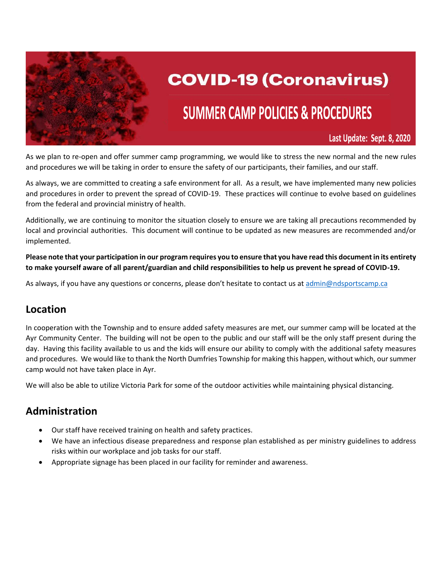

# **COVID-19 (Coronavirus)**

# **SUMMER CAMP POLICIES & PROCEDURES**

Last Update: Sept. 8, 2020

As we plan to re-open and offer summer camp programming, we would like to stress the new normal and the new rules and procedures we will be taking in order to ensure the safety of our participants, their families, and our staff.

As always, we are committed to creating a safe environment for all. As a result, we have implemented many new policies and procedures in order to prevent the spread of COVID-19. These practices will continue to evolve based on guidelines from the federal and provincial ministry of health.

Additionally, we are continuing to monitor the situation closely to ensure we are taking all precautions recommended by local and provincial authorities. This document will continue to be updated as new measures are recommended and/or implemented.

**Please note that your participation in our program requires you to ensure that you have read this document in its entirety to make yourself aware of all parent/guardian and child responsibilities to help us prevent he spread of COVID-19.**

As always, if you have any questions or concerns, please don't hesitate to contact us at [admin@ndsportscamp.ca](mailto:admin@ndsportscamp.ca)

#### **Location**

In cooperation with the Township and to ensure added safety measures are met, our summer camp will be located at the Ayr Community Center. The building will not be open to the public and our staff will be the only staff present during the day. Having this facility available to us and the kids will ensure our ability to comply with the additional safety measures and procedures. We would like to thank the North Dumfries Township for making this happen, without which, our summer camp would not have taken place in Ayr.

We will also be able to utilize Victoria Park for some of the outdoor activities while maintaining physical distancing.

#### **Administration**

- Our staff have received training on health and safety practices.
- We have an infectious disease preparedness and response plan established as per ministry guidelines to address risks within our workplace and job tasks for our staff.
- Appropriate signage has been placed in our facility for reminder and awareness.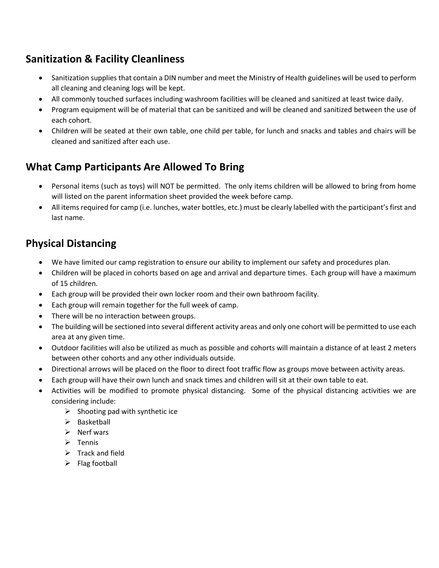# **Sanitization & Facility Cleanliness**

- Sanitization supplies that contain a DIN number and meet the Ministry of Health guidelines will be used to perform all cleaning and cleaning logs will be kept.
- All commonly touched surfaces including washroom facilities will be cleaned and sanitized at least twice daily.
- Program equipment will be of material that can be sanitized and will be cleaned and sanitized between the use of each cohort.
- Children will be seated at their own table, one child per table, for lunch and snacks and tables and chairs will be cleaned and sanitized after each use.

# **What Camp Participants Are Allowed To Bring**

- Personal items (such as toys) will NOT be permitted. The only items children will be allowed to bring from home will listed on the parent information sheet provided the week before camp.
- All items required for camp (i.e. lunches, water bottles, etc.) must be clearly labelled with the participant's first and last name.

### **Physical Distancing**

- We have limited our camp registration to ensure our ability to implement our safety and procedures plan.
- Children will be placed in cohorts based on age and arrival and departure times. Each group will have a maximum of 15 children.
- Each group will be provided their own locker room and their own bathroom facility.
- Each group will remain together for the full week of camp.
- There will be no interaction between groups.
- The building will be sectioned into several different activity areas and only one cohort will be permitted to use each area at any given time.
- Outdoor facilities will also be utilized as much as possible and cohorts will maintain a distance of at least 2 meters between other cohorts and any other individuals outside.
- Directional arrows will be placed on the floor to direct foot traffic flow as groups move between activity areas.
- Each group will have their own lunch and snack times and children will sit at their own table to eat.
- Activities will be modified to promote physical distancing. Some of the physical distancing activities we are considering include:
	- $\triangleright$  Shooting pad with synthetic ice
	- ➢ Basketball
	- ➢ Nerf wars
	- ➢ Tennis
	- $\triangleright$  Track and field
	- $\triangleright$  Flag football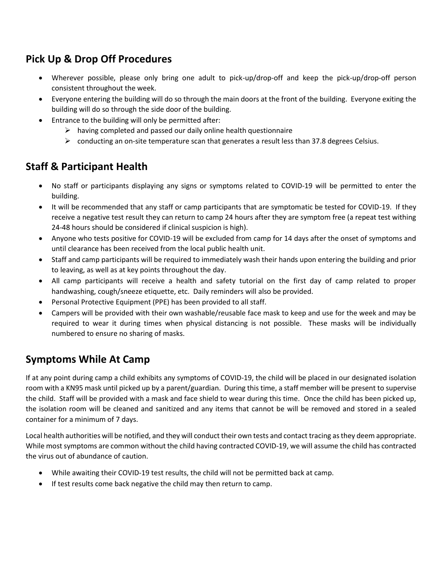### **Pick Up & Drop Off Procedures**

- Wherever possible, please only bring one adult to pick-up/drop-off and keep the pick-up/drop-off person consistent throughout the week.
- Everyone entering the building will do so through the main doors at the front of the building. Everyone exiting the building will do so through the side door of the building.
- Entrance to the building will only be permitted after:
	- $\triangleright$  having completed and passed our daily online health questionnaire
	- $\triangleright$  conducting an on-site temperature scan that generates a result less than 37.8 degrees Celsius.

#### **Staff & Participant Health**

- No staff or participants displaying any signs or symptoms related to COVID-19 will be permitted to enter the building.
- It will be recommended that any staff or camp participants that are symptomatic be tested for COVID-19. If they receive a negative test result they can return to camp 24 hours after they are symptom free (a repeat test withing 24-48 hours should be considered if clinical suspicion is high).
- Anyone who tests positive for COVID-19 will be excluded from camp for 14 days after the onset of symptoms and until clearance has been received from the local public health unit.
- Staff and camp participants will be required to immediately wash their hands upon entering the building and prior to leaving, as well as at key points throughout the day.
- All camp participants will receive a health and safety tutorial on the first day of camp related to proper handwashing, cough/sneeze etiquette, etc. Daily reminders will also be provided.
- Personal Protective Equipment (PPE) has been provided to all staff.
- Campers will be provided with their own washable/reusable face mask to keep and use for the week and may be required to wear it during times when physical distancing is not possible. These masks will be individually numbered to ensure no sharing of masks.

#### **Symptoms While At Camp**

If at any point during camp a child exhibits any symptoms of COVID-19, the child will be placed in our designated isolation room with a KN95 mask until picked up by a parent/guardian. During this time, a staff member will be present to supervise the child. Staff will be provided with a mask and face shield to wear during this time. Once the child has been picked up, the isolation room will be cleaned and sanitized and any items that cannot be will be removed and stored in a sealed container for a minimum of 7 days.

Local health authorities will be notified, and they will conduct their own tests and contact tracing as they deem appropriate. While most symptoms are common without the child having contracted COVID-19, we will assume the child has contracted the virus out of abundance of caution.

- While awaiting their COVID-19 test results, the child will not be permitted back at camp.
- If test results come back negative the child may then return to camp.